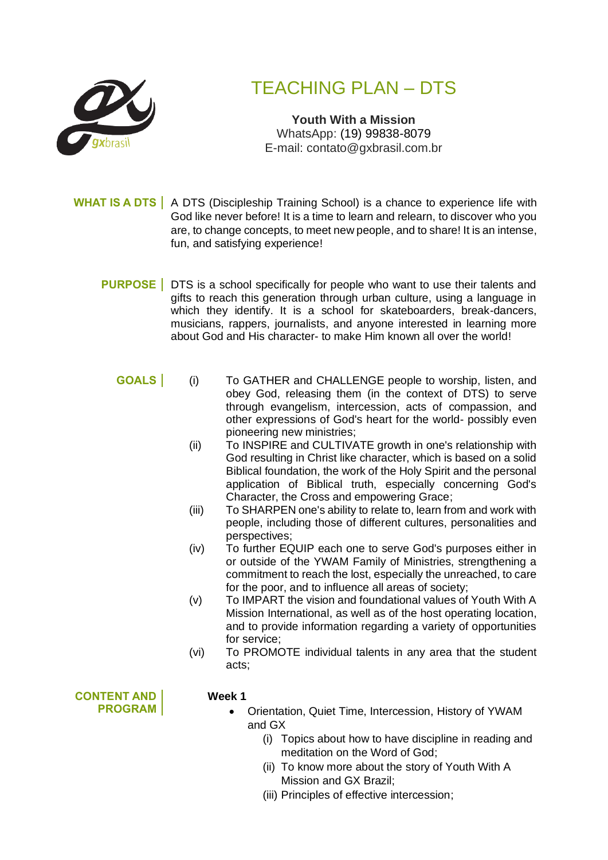

# TEACHING PLAN – DTS

**Youth With a Mission** WhatsApp: (19) 99838-8079 E-mail: contato@gxbrasil.com.br

**WHAT IS A DTS** | A DTS (Discipleship Training School) is a chance to experience life with God like never before! It is a time to learn and relearn, to discover who you are, to change concepts, to meet new people, and to share! It is an intense, fun, and satisfying experience!

- **PURPOSE** DTS is a school specifically for people who want to use their talents and gifts to reach this generation through urban culture, using a language in which they identify. It is a school for skateboarders, break-dancers, musicians, rappers, journalists, and anyone interested in learning more about God and His character- to make Him known all over the world!
	- **GOALS** (i) To GATHER and CHALLENGE people to worship, listen, and obey God, releasing them (in the context of DTS) to serve through evangelism, intercession, acts of compassion, and other expressions of God's heart for the world- possibly even pioneering new ministries;
		- (ii) To INSPIRE and CULTIVATE growth in one's relationship with God resulting in Christ like character, which is based on a solid Biblical foundation, the work of the Holy Spirit and the personal application of Biblical truth, especially concerning God's Character, the Cross and empowering Grace;
		- (iii) To SHARPEN one's ability to relate to, learn from and work with people, including those of different cultures, personalities and perspectives;
		- (iv) To further EQUIP each one to serve God's purposes either in or outside of the YWAM Family of Ministries, strengthening a commitment to reach the lost, especially the unreached, to care for the poor, and to influence all areas of society;
		- (v) To IMPART the vision and foundational values of Youth With A Mission International, as well as of the host operating location, and to provide information regarding a variety of opportunities for service;
		- (vi) To PROMOTE individual talents in any area that the student acts;

**CONTENT AND PROGRAM**

#### **Week 1**

- Orientation, Quiet Time, Intercession, History of YWAM and GX
	- (i) Topics about how to have discipline in reading and meditation on the Word of God;
	- (ii) To know more about the story of Youth With A Mission and GX Brazil;
	- (iii) Principles of effective intercession;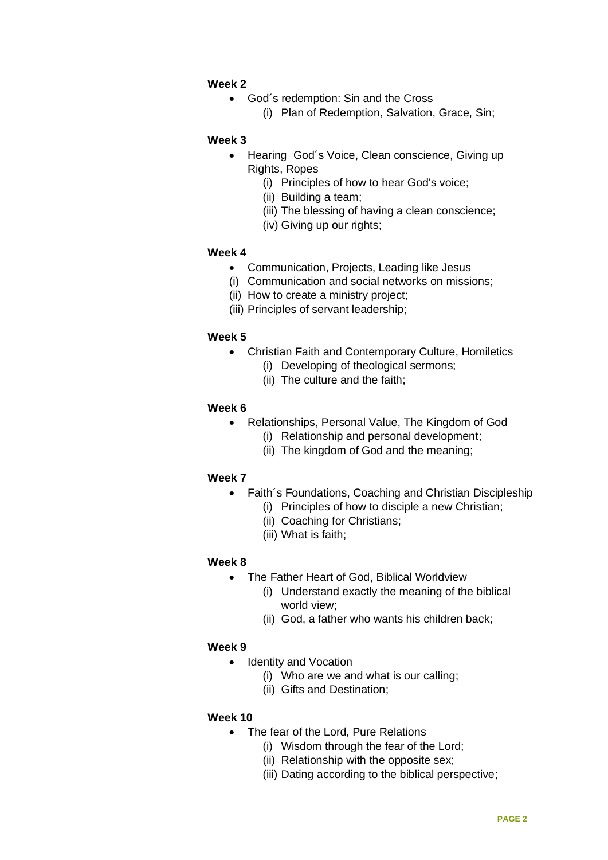## **Week 2**

- God´s redemption: Sin and the Cross
	- (i) Plan of Redemption, Salvation, Grace, Sin;

#### **Week 3**

- Hearing God´s Voice, Clean conscience, Giving up Rights, Ropes
	- (i) Principles of how to hear God's voice;
	- (ii) Building a team;
	- (iii) The blessing of having a clean conscience;
	- (iv) Giving up our rights;

## **Week 4**

- Communication, Projects, Leading like Jesus
- (i) Communication and social networks on missions;
- (ii) How to create a ministry project;
- (iii) Principles of servant leadership;

## **Week 5**

- Christian Faith and Contemporary Culture, Homiletics
	- (i) Developing of theological sermons;
	- (ii) The culture and the faith;

## **Week 6**

- Relationships, Personal Value, The Kingdom of God
	- (i) Relationship and personal development;
	- (ii) The kingdom of God and the meaning;

# **Week 7**

- Faith´s Foundations, Coaching and Christian Discipleship
	- (i) Principles of how to disciple a new Christian;
	- (ii) Coaching for Christians;
	- (iii) What is faith;

# **Week 8**

- The Father Heart of God, Biblical Worldview
	- (i) Understand exactly the meaning of the biblical world view;
	- (ii) God, a father who wants his children back;

#### **Week 9**

- Identity and Vocation
	- (i) Who are we and what is our calling;
	- (ii) Gifts and Destination;

#### **Week 10**

- The fear of the Lord, Pure Relations
	- (i) Wisdom through the fear of the Lord;
	- (ii) Relationship with the opposite sex;
	- (iii) Dating according to the biblical perspective;